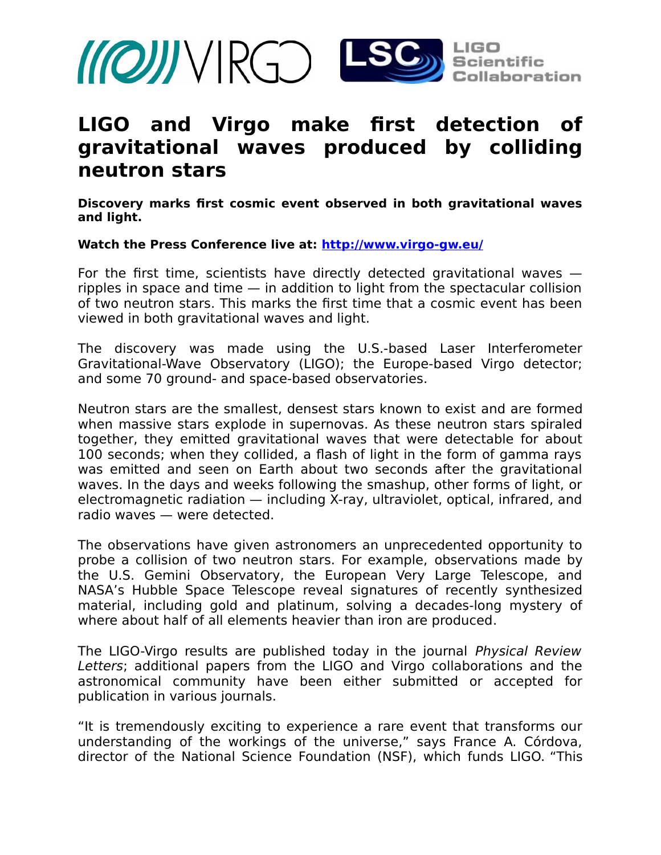

# **LIGO and Virgo make first detection of gravitational waves produced by colliding neutron stars**

**Discovery marks first cosmic event observed in both gravitational waves and light.**

#### **Watch the Press Conference live at:<http://www.virgo-gw.eu/>**

For the first time, scientists have directly detected gravitational waves ripples in space and time — in addition to light from the spectacular collision of two neutron stars. This marks the first time that a cosmic event has been viewed in both gravitational waves and light.

The discovery was made using the U.S.-based Laser Interferometer Gravitational-Wave Observatory (LIGO); the Europe-based Virgo detector; and some 70 ground- and space-based observatories.

Neutron stars are the smallest, densest stars known to exist and are formed when massive stars explode in supernovas. As these neutron stars spiraled together, they emitted gravitational waves that were detectable for about 100 seconds; when they collided, a flash of light in the form of gamma rays was emitted and seen on Earth about two seconds after the gravitational waves. In the days and weeks following the smashup, other forms of light, or electromagnetic radiation — including X-ray, ultraviolet, optical, infrared, and radio waves — were detected.

The observations have given astronomers an unprecedented opportunity to probe a collision of two neutron stars. For example, observations made by the U.S. Gemini Observatory, the European Very Large Telescope, and NASA's Hubble Space Telescope reveal signatures of recently synthesized material, including gold and platinum, solving a decades-long mystery of where about half of all elements heavier than iron are produced.

The LIGO-Virgo results are published today in the journal Physical Review Letters; additional papers from the LIGO and Virgo collaborations and the astronomical community have been either submitted or accepted for publication in various journals.

"It is tremendously exciting to experience a rare event that transforms our understanding of the workings of the universe," says France A. Córdova, director of the National Science Foundation (NSF), which funds LIGO. "This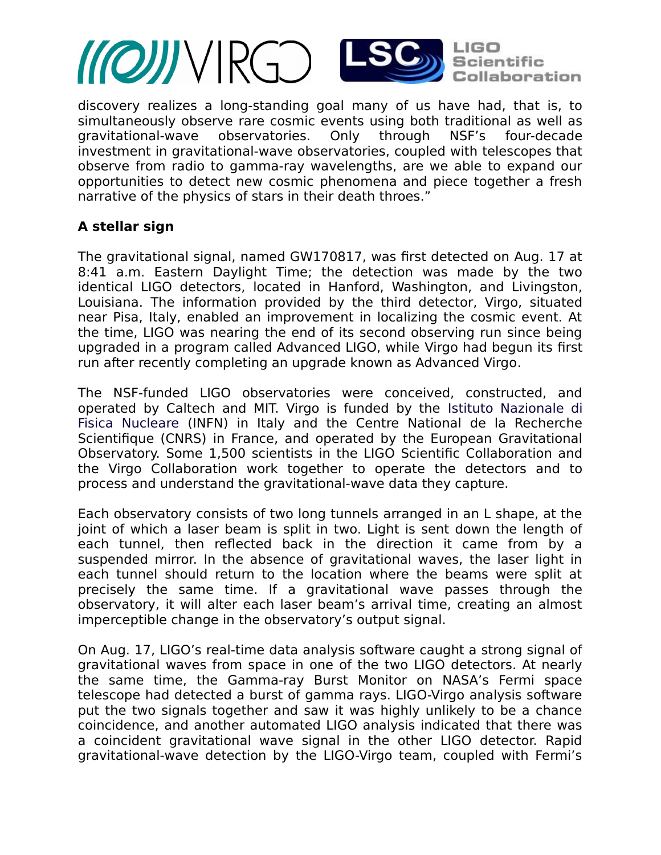

discovery realizes a long-standing goal many of us have had, that is, to simultaneously observe rare cosmic events using both traditional as well as gravitational-wave observatories. Only through NSF's four-decade investment in gravitational-wave observatories, coupled with telescopes that observe from radio to gamma-ray wavelengths, are we able to expand our opportunities to detect new cosmic phenomena and piece together a fresh narrative of the physics of stars in their death throes."

## **A stellar sign**

The gravitational signal, named GW170817, was first detected on Aug. 17 at 8:41 a.m. Eastern Daylight Time; the detection was made by the two identical LIGO detectors, located in Hanford, Washington, and Livingston, Louisiana. The information provided by the third detector, Virgo, situated near Pisa, Italy, enabled an improvement in localizing the cosmic event. At the time, LIGO was nearing the end of its second observing run since being upgraded in a program called Advanced LIGO, while Virgo had begun its first run after recently completing an upgrade known as Advanced Virgo.

The NSF-funded LIGO observatories were conceived, constructed, and operated by Caltech and MIT. Virgo is funded by the Istituto Nazionale di Fisica Nucleare (INFN) in Italy and the Centre National de la Recherche Scientifique (CNRS) in France, and operated by the European Gravitational Observatory. Some 1,500 scientists in the LIGO Scientific Collaboration and the Virgo Collaboration work together to operate the detectors and to process and understand the gravitational-wave data they capture.

Each observatory consists of two long tunnels arranged in an L shape, at the joint of which a laser beam is split in two. Light is sent down the length of each tunnel, then reflected back in the direction it came from by a suspended mirror. In the absence of gravitational waves, the laser light in each tunnel should return to the location where the beams were split at precisely the same time. If a gravitational wave passes through the observatory, it will alter each laser beam's arrival time, creating an almost imperceptible change in the observatory's output signal.

On Aug. 17, LIGO's real-time data analysis software caught a strong signal of gravitational waves from space in one of the two LIGO detectors. At nearly the same time, the Gamma-ray Burst Monitor on NASA's Fermi space telescope had detected a burst of gamma rays. LIGO-Virgo analysis software put the two signals together and saw it was highly unlikely to be a chance coincidence, and another automated LIGO analysis indicated that there was a coincident gravitational wave signal in the other LIGO detector. Rapid gravitational-wave detection by the LIGO-Virgo team, coupled with Fermi's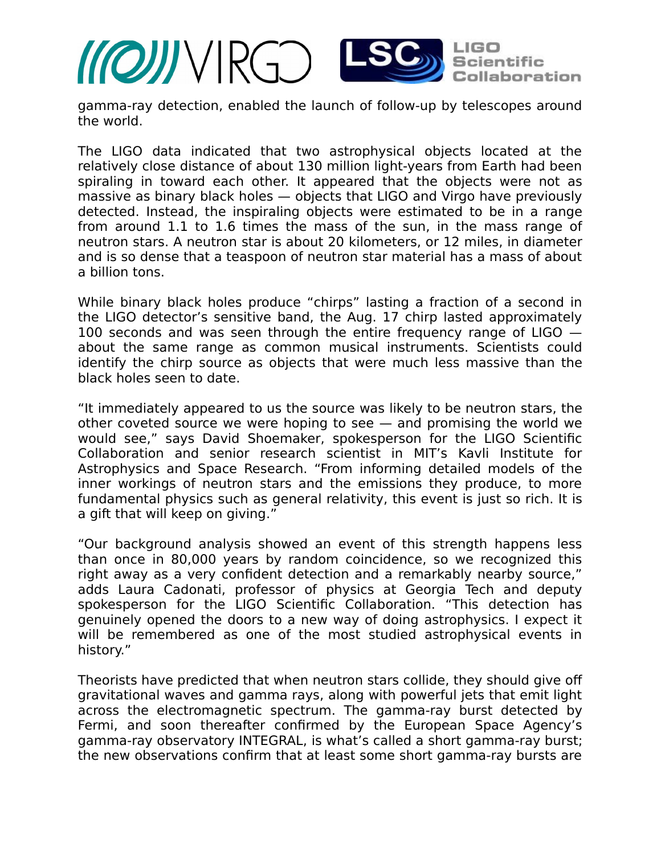

gamma-ray detection, enabled the launch of follow-up by telescopes around the world.

The LIGO data indicated that two astrophysical objects located at the relatively close distance of about 130 million light-years from Earth had been spiraling in toward each other. It appeared that the objects were not as massive as binary black holes — objects that LIGO and Virgo have previously detected. Instead, the inspiraling objects were estimated to be in a range from around 1.1 to 1.6 times the mass of the sun, in the mass range of neutron stars. A neutron star is about 20 kilometers, or 12 miles, in diameter and is so dense that a teaspoon of neutron star material has a mass of about a billion tons.

While binary black holes produce "chirps" lasting a fraction of a second in the LIGO detector's sensitive band, the Aug. 17 chirp lasted approximately 100 seconds and was seen through the entire frequency range of LIGO  $$ about the same range as common musical instruments. Scientists could identify the chirp source as objects that were much less massive than the black holes seen to date.

"It immediately appeared to us the source was likely to be neutron stars, the other coveted source we were hoping to see — and promising the world we would see," says David Shoemaker, spokesperson for the LIGO Scientific Collaboration and senior research scientist in MIT's Kavli Institute for Astrophysics and Space Research. "From informing detailed models of the inner workings of neutron stars and the emissions they produce, to more fundamental physics such as general relativity, this event is just so rich. It is a gift that will keep on giving."

"Our background analysis showed an event of this strength happens less than once in 80,000 years by random coincidence, so we recognized this right away as a very confident detection and a remarkably nearby source," adds Laura Cadonati, professor of physics at Georgia Tech and deputy spokesperson for the LIGO Scientific Collaboration. "This detection has genuinely opened the doors to a new way of doing astrophysics. I expect it will be remembered as one of the most studied astrophysical events in history."

Theorists have predicted that when neutron stars collide, they should give of gravitational waves and gamma rays, along with powerful jets that emit light across the electromagnetic spectrum. The gamma-ray burst detected by Fermi, and soon thereafter confirmed by the European Space Agency's gamma-ray observatory INTEGRAL, is what's called a short gamma-ray burst; the new observations confirm that at least some short gamma-ray bursts are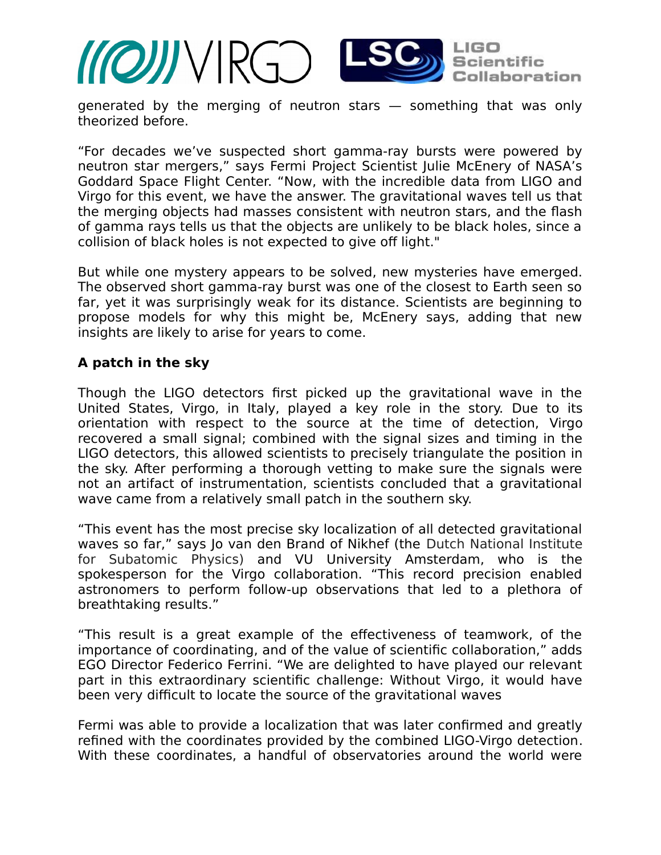

generated by the merging of neutron stars — something that was only theorized before.

"For decades we've suspected short gamma-ray bursts were powered by neutron star mergers," says Fermi Project Scientist Julie McEnery of NASA's Goddard Space Flight Center. "Now, with the incredible data from LIGO and Virgo for this event, we have the answer. The gravitational waves tell us that the merging objects had masses consistent with neutron stars, and the flash of gamma rays tells us that the objects are unlikely to be black holes, since a collision of black holes is not expected to give off light."

But while one mystery appears to be solved, new mysteries have emerged. The observed short gamma-ray burst was one of the closest to Earth seen so far, yet it was surprisingly weak for its distance. Scientists are beginning to propose models for why this might be, McEnery says, adding that new insights are likely to arise for years to come.

## **A patch in the sky**

Though the LIGO detectors first picked up the gravitational wave in the United States, Virgo, in Italy, played a key role in the story. Due to its orientation with respect to the source at the time of detection, Virgo recovered a small signal; combined with the signal sizes and timing in the LIGO detectors, this allowed scientists to precisely triangulate the position in the sky. After performing a thorough vetting to make sure the signals were not an artifact of instrumentation, scientists concluded that a gravitational wave came from a relatively small patch in the southern sky.

"This event has the most precise sky localization of all detected gravitational waves so far," says Jo van den Brand of Nikhef (the Dutch National Institute for Subatomic Physics) and VU University Amsterdam, who is the spokesperson for the Virgo collaboration. "This record precision enabled astronomers to perform follow-up observations that led to a plethora of breathtaking results."

"This result is a great example of the efectiveness of teamwork, of the importance of coordinating, and of the value of scientific collaboration," adds EGO Director Federico Ferrini. "We are delighted to have played our relevant part in this extraordinary scientific challenge: Without Virgo, it would have been very difficult to locate the source of the gravitational waves

Fermi was able to provide a localization that was later confirmed and greatly refined with the coordinates provided by the combined LIGO-Virgo detection. With these coordinates, a handful of observatories around the world were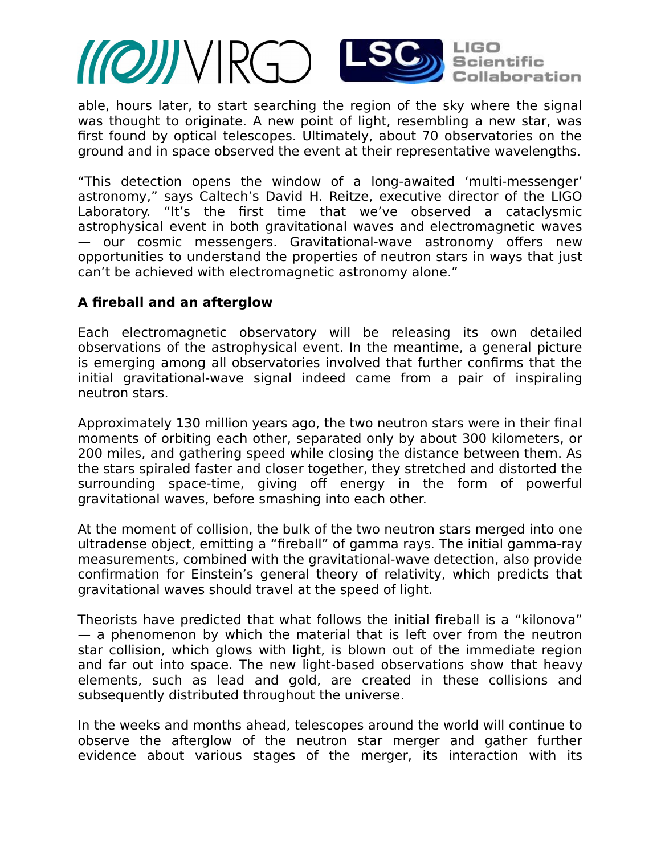

able, hours later, to start searching the region of the sky where the signal was thought to originate. A new point of light, resembling a new star, was first found by optical telescopes. Ultimately, about 70 observatories on the ground and in space observed the event at their representative wavelengths.

"This detection opens the window of a long-awaited 'multi-messenger' astronomy," says Caltech's David H. Reitze, executive director of the LIGO Laboratory. "It's the first time that we've observed a cataclysmic astrophysical event in both gravitational waves and electromagnetic waves — our cosmic messengers. Gravitational-wave astronomy ofers new opportunities to understand the properties of neutron stars in ways that just can't be achieved with electromagnetic astronomy alone."

## **A fireball and an afterglow**

Each electromagnetic observatory will be releasing its own detailed observations of the astrophysical event. In the meantime, a general picture is emerging among all observatories involved that further confirms that the initial gravitational-wave signal indeed came from a pair of inspiraling neutron stars.

Approximately 130 million years ago, the two neutron stars were in their final moments of orbiting each other, separated only by about 300 kilometers, or 200 miles, and gathering speed while closing the distance between them. As the stars spiraled faster and closer together, they stretched and distorted the surrounding space-time, giving off energy in the form of powerful gravitational waves, before smashing into each other.

At the moment of collision, the bulk of the two neutron stars merged into one ultradense object, emitting a "fireball" of gamma rays. The initial gamma-ray measurements, combined with the gravitational-wave detection, also provide confirmation for Einstein's general theory of relativity, which predicts that gravitational waves should travel at the speed of light.

Theorists have predicted that what follows the initial fireball is a "kilonova" — a phenomenon by which the material that is left over from the neutron star collision, which glows with light, is blown out of the immediate region and far out into space. The new light-based observations show that heavy elements, such as lead and gold, are created in these collisions and subsequently distributed throughout the universe.

In the weeks and months ahead, telescopes around the world will continue to observe the afterglow of the neutron star merger and gather further evidence about various stages of the merger, its interaction with its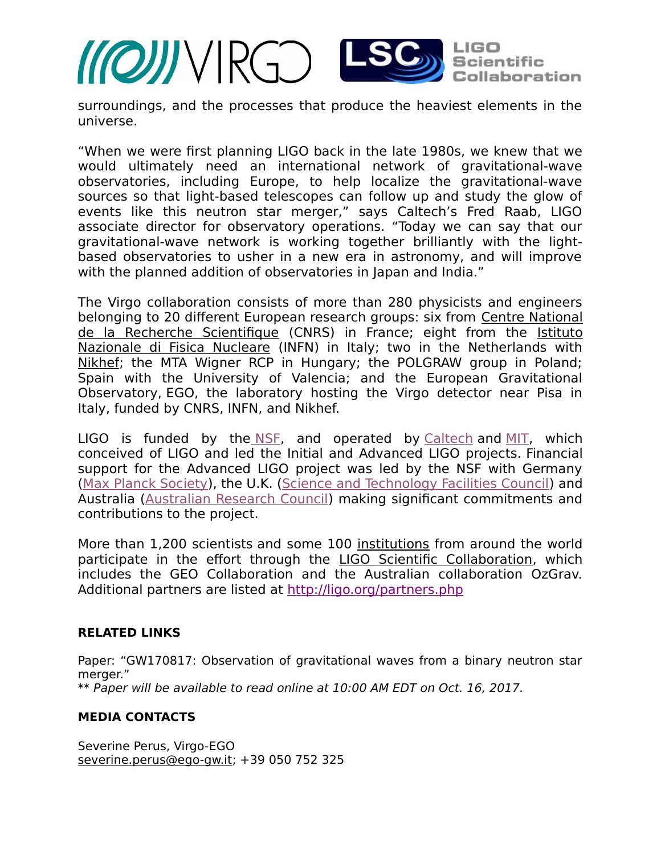

surroundings, and the processes that produce the heaviest elements in the universe.

"When we were first planning LIGO back in the late 1980s, we knew that we would ultimately need an international network of gravitational-wave observatories, including Europe, to help localize the gravitational-wave sources so that light-based telescopes can follow up and study the glow of events like this neutron star merger," says Caltech's Fred Raab, LIGO associate director for observatory operations. "Today we can say that our gravitational-wave network is working together brilliantly with the lightbased observatories to usher in a new era in astronomy, and will improve with the planned addition of observatories in Japan and India."

The Virgo collaboration consists of more than 280 physicists and engineers belonging to 20 diferent European research groups: six from [Centre National](http://www.cnrs.fr/) [de la Recherche Scientifique](http://www.cnrs.fr/) (CNRS) in France; eight from the [Istituto](http://home.infn.it/it/) [Nazionale di Fisica Nucleare](http://home.infn.it/it/) (INFN) in Italy; two in the Netherlands with [Nikhef;](https://www.nikhef.nl/en/) the MTA Wigner RCP in Hungary; the POLGRAW group in Poland; Spain with the University of Valencia; and the European Gravitational Observatory, EGO, the laboratory hosting the Virgo detector near Pisa in Italy, funded by CNRS, INFN, and Nikhef.

LIGO is funded by the  $NSE$ , and operated by [Caltech](http://www.ligo.caltech.edu/) and  $MIT$ , which conceived of LIGO and led the Initial and Advanced LIGO projects. Financial support for the Advanced LIGO project was led by the NSF with Germany [\(Max Planck Society\)](http://www.mpg.de/en), the U.K. [\(Science and Technology Facilities Council\)](http://www.stfc.ac.uk/) and Australia [\(Australian Research Council\)](http://www.arc.gov.au/) making significant commitments and contributions to the project.

More than 1,200 scientists and some 100 [institutions](https://my.ligo.org/census.php) from around the world participate in the effort through the [LIGO Scientific Collaboration,](http://ligo.org/) which includes the GEO Collaboration and the Australian collaboration OzGrav. Additional partners are listed at <http://ligo.org/partners.php>

#### **RELATED LINKS**

Paper: "GW170817: Observation of gravitational waves from a binary neutron star merger." \*\* Paper will be available to read online at 10:00 AM EDT on Oct. 16, 2017.

#### **MEDIA CONTACTS**

Severine Perus, Virgo-EGO [severine.perus@ego-gw.it;](mailto:severine.perus@ego-gw.it) +39 050 752 325